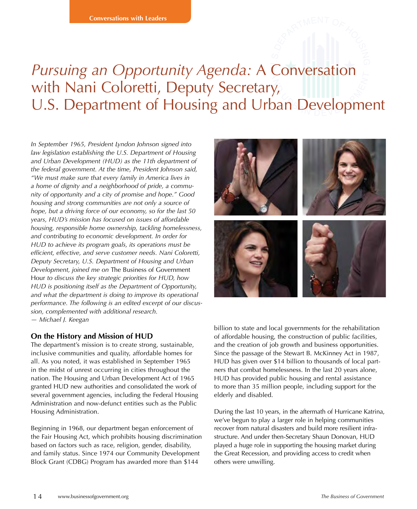# *Pursuing an Opportunity Agenda:* A Conversation with Nani Coloretti, Deputy Secretary, U.S. Department of Housing and Urban Development

*In September 1965, President Lyndon Johnson signed into law legislation establishing the U.S. Department of Housing and Urban Development (HUD) as the 11th department of the federal government. At the time, President Johnson said, "We must make sure that every family in America lives in a home of dignity and a neighborhood of pride, a community of opportunity and a city of promise and hope." Good housing and strong communities are not only a source of hope, but a driving force of our economy, so for the last 50 years, HUD's mission has focused on issues of affordable housing, responsible home ownership, tackling homelessness, and contributing to economic development. In order for HUD to achieve its program goals, its operations must be efficient, effective, and serve customer needs. Nani Coloretti, Deputy Secretary, U.S. Department of Housing and Urban Development, joined me on* The Business of Government Hour *to discuss the key strategic priorities for HUD, how HUD is positioning itself as the Department of Opportunity, and what the department is doing to improve its operational performance. The following is an edited excerpt of our discussion, complemented with additional research. — Michael J. Keegan*

#### **On the History and Mission of HUD**

The department's mission is to create strong, sustainable, inclusive communities and quality, affordable homes for all. As you noted, it was established in September 1965 in the midst of unrest occurring in cities throughout the nation. The Housing and Urban Development Act of 1965 granted HUD new authorities and consolidated the work of several government agencies, including the Federal Housing Administration and now-defunct entities such as the Public Housing Administration.

Beginning in 1968, our department began enforcement of the Fair Housing Act, which prohibits housing discrimination based on factors such as race, religion, gender, disability, and family status. Since 1974 our Community Development Block Grant (CDBG) Program has awarded more than \$144



billion to state and local governments for the rehabilitation of affordable housing, the construction of public facilities, and the creation of job growth and business opportunities. Since the passage of the Stewart B. McKinney Act in 1987, HUD has given over \$14 billion to thousands of local partners that combat homelessness. In the last 20 years alone, HUD has provided public housing and rental assistance to more than 35 million people, including support for the elderly and disabled.

During the last 10 years, in the aftermath of Hurricane Katrina, we've begun to play a larger role in helping communities recover from natural disasters and build more resilient infrastructure. And under then-Secretary Shaun Donovan, HUD played a huge role in supporting the housing market during the Great Recession, and providing access to credit when others were unwilling.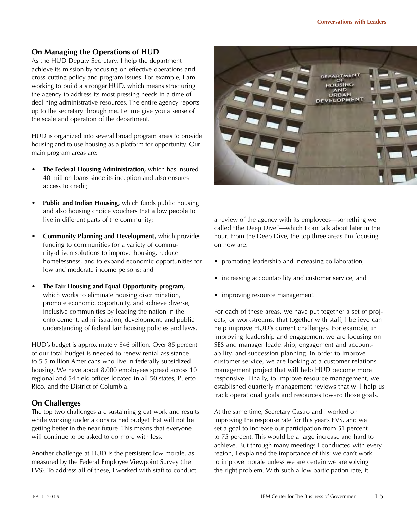# **On Managing the Operations of HUD**

As the HUD Deputy Secretary, I help the department achieve its mission by focusing on effective operations and cross-cutting policy and program issues. For example, I am working to build a stronger HUD, which means structuring the agency to address its most pressing needs in a time of declining administrative resources. The entire agency reports up to the secretary through me. Let me give you a sense of the scale and operation of the department.

HUD is organized into several broad program areas to provide housing and to use housing as a platform for opportunity. Our main program areas are:

- **The Federal Housing Administration,** which has insured 40 million loans since its inception and also ensures access to credit;
- **Public and Indian Housing,** which funds public housing and also housing choice vouchers that allow people to live in different parts of the community;
- **Community Planning and Development,** which provides funding to communities for a variety of community-driven solutions to improve housing, reduce homelessness, and to expand economic opportunities for low and moderate income persons; and
- **The Fair Housing and Equal Opportunity program,** which works to eliminate housing discrimination, promote economic opportunity, and achieve diverse, inclusive communities by leading the nation in the enforcement, administration, development, and public understanding of federal fair housing policies and laws.

HUD's budget is approximately \$46 billion. Over 85 percent of our total budget is needed to renew rental assistance to 5.5 million Americans who live in federally subsidized housing. We have about 8,000 employees spread across 10 regional and 54 field offices located in all 50 states, Puerto Rico, and the District of Columbia.

## **On Challenges**

The top two challenges are sustaining great work and results while working under a constrained budget that will not be getting better in the near future. This means that everyone will continue to be asked to do more with less.

Another challenge at HUD is the persistent low morale, as measured by the Federal Employee Viewpoint Survey (the EVS). To address all of these, I worked with staff to conduct



a review of the agency with its employees—something we called "the Deep Dive"—which I can talk about later in the hour. From the Deep Dive, the top three areas I'm focusing on now are:

- promoting leadership and increasing collaboration,
- increasing accountability and customer service, and
- improving resource management.

For each of these areas, we have put together a set of projects, or workstreams, that together with staff, I believe can help improve HUD's current challenges. For example, in improving leadership and engagement we are focusing on SES and manager leadership, engagement and accountability, and succession planning. In order to improve customer service, we are looking at a customer relations management project that will help HUD become more responsive. Finally, to improve resource management, we established quarterly management reviews that will help us track operational goals and resources toward those goals.

At the same time, Secretary Castro and I worked on improving the response rate for this year's EVS, and we set a goal to increase our participation from 51 percent to 75 percent. This would be a large increase and hard to achieve. But through many meetings I conducted with every region, I explained the importance of this: we can't work to improve morale unless we are certain we are solving the right problem. With such a low participation rate, it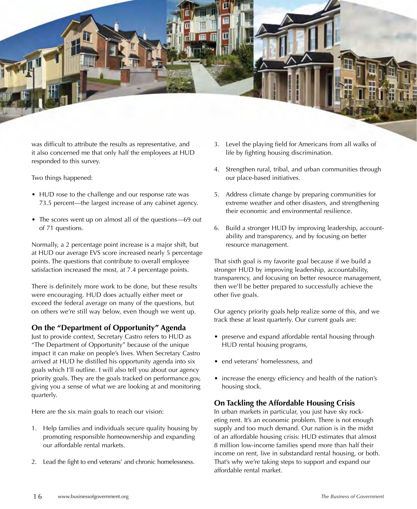

was difficult to attribute the results as representative, and it also concerned me that only half the employees at HUD responded to this survey.

Two things happened:

- HUD rose to the challenge and our response rate was 73.5 percent—the largest increase of any cabinet agency.
- The scores went up on almost all of the questions—69 out of 71 questions.

Normally, a 2 percentage point increase is a major shift, but at HUD our average EVS score increased nearly 5 percentage points. The questions that contribute to overall employee satisfaction increased the most, at 7.4 percentage points.

There is definitely more work to be done, but these results were encouraging. HUD does actually either meet or exceed the federal average on many of the questions, but on others we're still way below, even though we went up.

#### **On the "Department of Opportunity" Agenda**

Just to provide context, Secretary Castro refers to HUD as "The Department of Opportunity" because of the unique impact it can make on people's lives. When Secretary Castro arrived at HUD he distilled his opportunity agenda into six goals which I'll outline. I will also tell you about our agency priority goals. They are the goals tracked on performance.gov, giving you a sense of what we are looking at and monitoring quarterly.

Here are the six main goals to reach our vision:

- 1. Help families and individuals secure quality housing by promoting responsible homeownership and expanding our affordable rental markets.
- 2. Lead the fight to end veterans' and chronic homelessness.
- 3. Level the playing field for Americans from all walks of life by fighting housing discrimination.
- 4. Strengthen rural, tribal, and urban communities through our place-based initiatives.
- 5. Address climate change by preparing communities for extreme weather and other disasters, and strengthening their economic and environmental resilience.
- 6. Build a stronger HUD by improving leadership, accountability and transparency, and by focusing on better resource management.

That sixth goal is my favorite goal because if we build a stronger HUD by improving leadership, accountability, transparency, and focusing on better resource management, then we'll be better prepared to successfully achieve the other five goals.

Our agency priority goals help realize some of this, and we track these at least quarterly. Our current goals are:

- preserve and expand affordable rental housing through HUD rental housing programs,
- end veterans' homelessness, and
- increase the energy efficiency and health of the nation's housing stock.

## **On Tackling the Affordable Housing Crisis**

In urban markets in particular, you just have sky rocketing rent. It's an economic problem. There is not enough supply and too much demand. Our nation is in the midst of an affordable housing crisis: HUD estimates that almost 8 million low-income families spend more than half their income on rent, live in substandard rental housing, or both. That's why we're taking steps to support and expand our affordable rental market.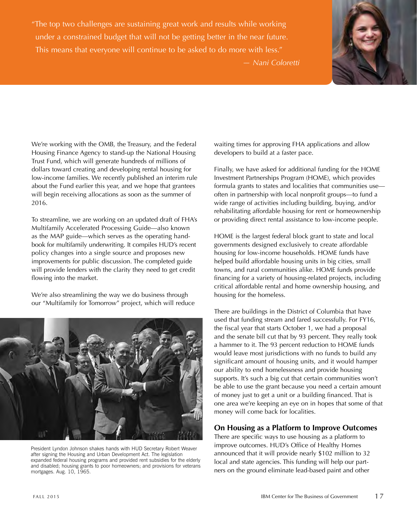"The top two challenges are sustaining great work and results while working under a constrained budget that will not be getting better in the near future. This means that everyone will continue to be asked to do more with less."



*— Nani Coloretti*

We're working with the OMB, the Treasury, and the Federal Housing Finance Agency to stand-up the National Housing Trust Fund, which will generate hundreds of millions of dollars toward creating and developing rental housing for low-income families. We recently published an interim rule about the Fund earlier this year, and we hope that grantees will begin receiving allocations as soon as the summer of 2016.

To streamline, we are working on an updated draft of FHA's Multifamily Accelerated Processing Guide—also known as the MAP guide—which serves as the operating handbook for multifamily underwriting. It compiles HUD's recent policy changes into a single source and proposes new improvements for public discussion. The completed guide will provide lenders with the clarity they need to get credit flowing into the market.

We're also streamlining the way we do business through our "Multifamily for Tomorrow" project, which will reduce



President Lyndon Johnson shakes hands with HUD Secretary Robert Weaver after signing the Housing and Urban Development Act. The legislation expanded federal housing programs and provided rent subsidies for the elderly and disabled; housing grants to poor homeowners; and provisions for veterans mortgages. Aug. 10, 1965.

waiting times for approving FHA applications and allow developers to build at a faster pace.

Finally, we have asked for additional funding for the HOME Investment Partnerships Program (HOME), which provides formula grants to states and localities that communities use often in partnership with local nonprofit groups—to fund a wide range of activities including building, buying, and/or rehabilitating affordable housing for rent or homeownership or providing direct rental assistance to low-income people.

HOME is the largest federal block grant to state and local governments designed exclusively to create affordable housing for low-income households. HOME funds have helped build affordable housing units in big cities, small towns, and rural communities alike. HOME funds provide financing for a variety of housing-related projects, including critical affordable rental and home ownership housing, and housing for the homeless.

There are buildings in the District of Columbia that have used that funding stream and fared successfully. For FY16, the fiscal year that starts October 1, we had a proposal and the senate bill cut that by 93 percent. They really took a hammer to it. The 93 percent reduction to HOME funds would leave most jurisdictions with no funds to build any significant amount of housing units, and it would hamper our ability to end homelessness and provide housing supports. It's such a big cut that certain communities won't be able to use the grant because you need a certain amount of money just to get a unit or a building financed. That is one area we're keeping an eye on in hopes that some of that money will come back for localities.

## **On Housing as a Platform to Improve Outcomes**

There are specific ways to use housing as a platform to improve outcomes. HUD's Office of Healthy Homes announced that it will provide nearly \$102 million to 32 local and state agencies. This funding will help our partners on the ground eliminate lead-based paint and other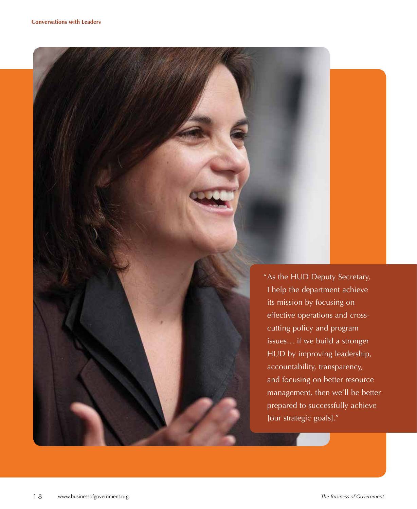"As the HUD Deputy Secretary, I help the department achieve its mission by focusing on effective operations and crosscutting policy and program issues… if we build a stronger HUD by improving leadership, accountability, transparency, and focusing on better resource management, then we'll be better prepared to successfully achieve [our strategic goals]."